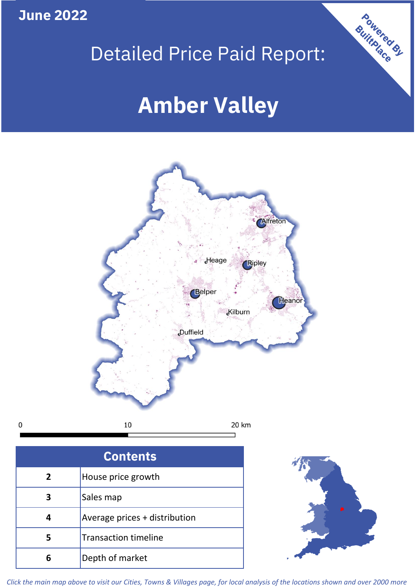**June 2022**

 $\mathbf 0$ 

# Detailed Price Paid Report:

# **Amber Valley**



| <b>Contents</b> |                               |  |  |
|-----------------|-------------------------------|--|--|
| 2               | House price growth            |  |  |
|                 | Sales map                     |  |  |
|                 | Average prices + distribution |  |  |
| 5               | <b>Transaction timeline</b>   |  |  |
|                 | Depth of market               |  |  |



Powered By

*Click the main map above to visit our Cities, Towns & Villages page, for local analysis of the locations shown and over 2000 more*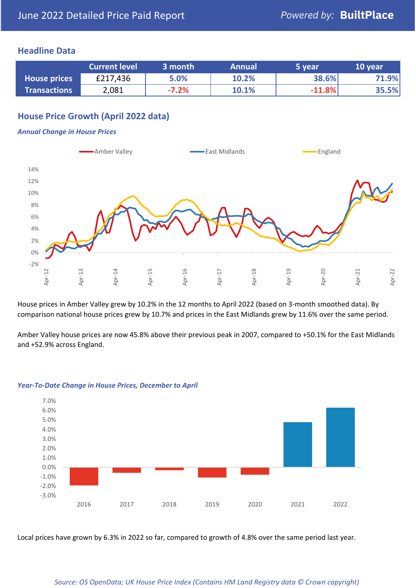# **Headline Data**

|                     | <b>Current level</b> | 3 month | <b>Annual</b> | 5 year   | 10 year |
|---------------------|----------------------|---------|---------------|----------|---------|
| <b>House prices</b> | £217,436             | 5.0%    | 10.2%         | 38.6%    | 71.9%   |
| <b>Transactions</b> | 2,081                | $-7.2%$ | 10.1%         | $-11.8%$ | 35.5%   |

# **House Price Growth (April 2022 data)**

#### *Annual Change in House Prices*



House prices in Amber Valley grew by 10.2% in the 12 months to April 2022 (based on 3-month smoothed data). By comparison national house prices grew by 10.7% and prices in the East Midlands grew by 11.6% over the same period.

Amber Valley house prices are now 45.8% above their previous peak in 2007, compared to +50.1% for the East Midlands and +52.9% across England.



#### *Year-To-Date Change in House Prices, December to April*

Local prices have grown by 6.3% in 2022 so far, compared to growth of 4.8% over the same period last year.

#### *Source: OS OpenData; UK House Price Index (Contains HM Land Registry data © Crown copyright)*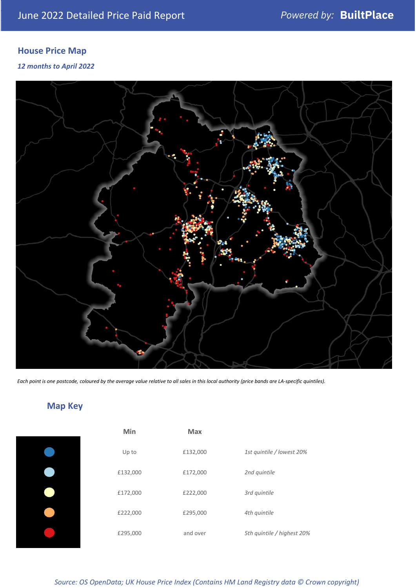# **House Price Map**

*12 months to April 2022*



*Each point is one postcode, coloured by the average value relative to all sales in this local authority (price bands are LA-specific quintiles).*

**Map Key**

| Min      | <b>Max</b> |                            |
|----------|------------|----------------------------|
| Up to    | £132,000   | 1st quintile / lowest 20%  |
| £132,000 | £172,000   | 2nd quintile               |
| £172,000 | £222,000   | 3rd quintile               |
| £222,000 | £295,000   | 4th quintile               |
| £295,000 | and over   | 5th quintile / highest 20% |

*Source: OS OpenData; UK House Price Index (Contains HM Land Registry data © Crown copyright)*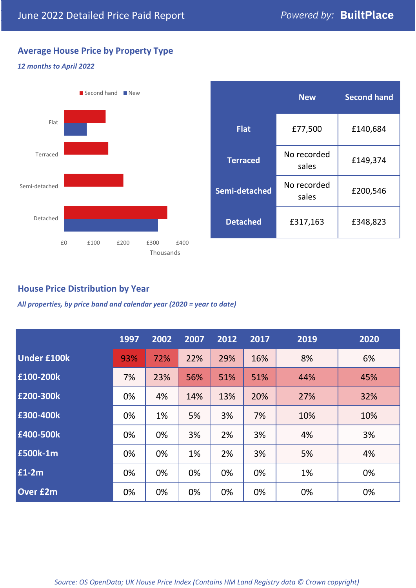# **Average House Price by Property Type**

### *12 months to April 2022*



|                 | <b>New</b>           | <b>Second hand</b> |  |
|-----------------|----------------------|--------------------|--|
| <b>Flat</b>     | £77,500              | £140,684           |  |
| <b>Terraced</b> | No recorded<br>sales | £149,374           |  |
| Semi-detached   | No recorded<br>sales | £200,546           |  |
| <b>Detached</b> | £317,163             | £348,823           |  |

# **House Price Distribution by Year**

*All properties, by price band and calendar year (2020 = year to date)*

|                    | 1997 | 2002 | 2007 | 2012 | 2017 | 2019 | 2020 |
|--------------------|------|------|------|------|------|------|------|
| <b>Under £100k</b> | 93%  | 72%  | 22%  | 29%  | 16%  | 8%   | 6%   |
| £100-200k          | 7%   | 23%  | 56%  | 51%  | 51%  | 44%  | 45%  |
| E200-300k          | 0%   | 4%   | 14%  | 13%  | 20%  | 27%  | 32%  |
| £300-400k          | 0%   | 1%   | 5%   | 3%   | 7%   | 10%  | 10%  |
| £400-500k          | 0%   | 0%   | 3%   | 2%   | 3%   | 4%   | 3%   |
| <b>£500k-1m</b>    | 0%   | 0%   | 1%   | 2%   | 3%   | 5%   | 4%   |
| £1-2m              | 0%   | 0%   | 0%   | 0%   | 0%   | 1%   | 0%   |
| <b>Over £2m</b>    | 0%   | 0%   | 0%   | 0%   | 0%   | 0%   | 0%   |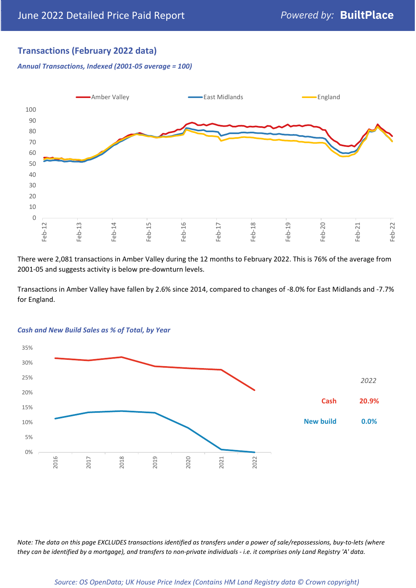# **Transactions (February 2022 data)**

*Annual Transactions, Indexed (2001-05 average = 100)*



There were 2,081 transactions in Amber Valley during the 12 months to February 2022. This is 76% of the average from 2001-05 and suggests activity is below pre-downturn levels.

Transactions in Amber Valley have fallen by 2.6% since 2014, compared to changes of -8.0% for East Midlands and -7.7% for England.



#### *Cash and New Build Sales as % of Total, by Year*

*Note: The data on this page EXCLUDES transactions identified as transfers under a power of sale/repossessions, buy-to-lets (where they can be identified by a mortgage), and transfers to non-private individuals - i.e. it comprises only Land Registry 'A' data.*